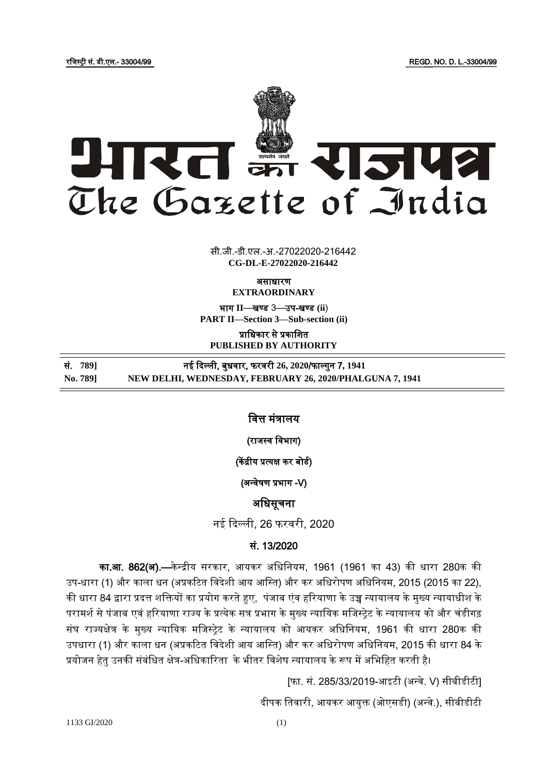रजिस्ट्री सं. डी.एल.- 33004/99 REGD. NO. D. L.-33004/99



 $\overline{z}$   $\overline{z}$   $\overline{z}$ सी.जी.-डी.एल.-अ.-27022020-216442 **CG-DL-E-27022020-216442**

असाधारण

**EXTRAORDINARY**

भाग **II**—खण् ड 3—उप-खण् ड **(ii**) **PART II—Section 3—Sub-section (ii)**

प्राजधकार से प्रकाजित **PUBLISHED BY AUTHORITY**

सं. 789] **सं. स्थान के नई दिल्ली, बुधवार, फरवरी 26, 2020/फाल्गुन 7, 1941 No. 789] NEW DELHI, WEDNESDAY, FEBRUARY 26, 2020/PHALGUNA 7, 1941**

जित्त मंत्रालय

i

(राजस्व विभाग)

(केंद्रीय प्रत्यक्ष कर बोर्ड)

(अन्वेषण प्रभाग -V)

अजधसूचना

नई दिल्ली, 26 फरिरी, 2020

## सं. 13/2020

का.आ. 862(अ).—केन्द्रीय सरकार, आयकर अधिनियम, 1961 (1961 का 43) की धारा 280क की उप-धारा (1) और काला धन (अप्रकटित विदेशी आय आस्ति) और कर अधिरोपण अधिनियम, 2015 (2015 का 22), की धारा 84 द्वारा प्रदत्त शक्तियों का प्रयोग करते हुए, पंजाब एंव हरियाणा के उच्च न्यायालय के मुख्य न्यायाधीश के परामर्श से पंजाब एवं हरियाणा राज्य के प्रत्येक सत्र प्रभाग के मुख्य न्यायिक मजिस्ट्रेट के न्यायालय को और चंडीगढ़ संघ राज्यक्षेत्र के मुख्य न्यायिक मजिस्ट्रेट के न्यायालय को आयकर अधिनियम, 1961 की धारा 280क की उपधारा (1) और काला धन (अप्रकटित विदेशी आय आस्ति) और कर अधिरोपण अधिनियम, 2015 की धारा 84 के प्रयोजन हेतु उनकी संबंधित क्षेत्र-अधिकारिता के भीतर विशेष न्यायालय के रूप में अभिहित करती है।

[फा. सं. 285/33/2019-आइटी (अन्वे. V) सीबीडीटी]

दीपक तिवारी, आयकर आयुक्त (ओएसडी) (अन्वे.), सीबीडीटी